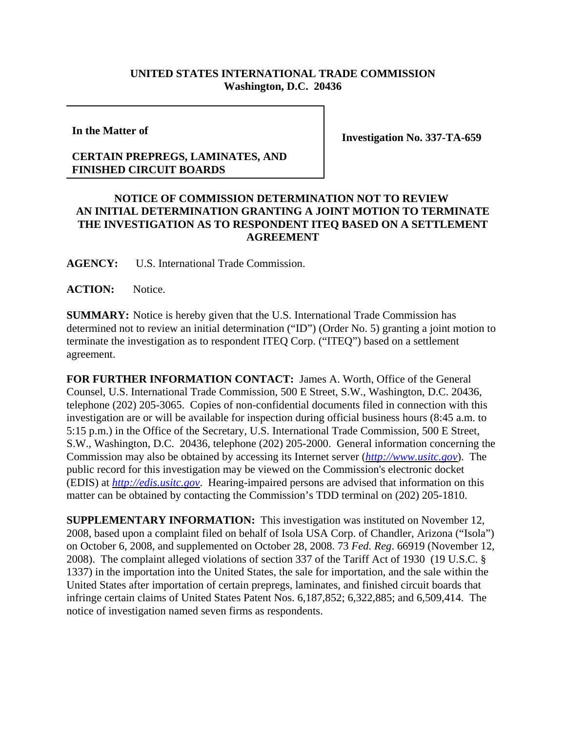## **UNITED STATES INTERNATIONAL TRADE COMMISSION Washington, D.C. 20436**

**In the Matter of**

## **CERTAIN PREPREGS, LAMINATES, AND FINISHED CIRCUIT BOARDS**

**Investigation No. 337-TA-659**

## **NOTICE OF COMMISSION DETERMINATION NOT TO REVIEW AN INITIAL DETERMINATION GRANTING A JOINT MOTION TO TERMINATE THE INVESTIGATION AS TO RESPONDENT ITEQ BASED ON A SETTLEMENT AGREEMENT**

**AGENCY:** U.S. International Trade Commission.

**ACTION:** Notice.

**SUMMARY:** Notice is hereby given that the U.S. International Trade Commission has determined not to review an initial determination ("ID") (Order No. 5) granting a joint motion to terminate the investigation as to respondent ITEQ Corp. ("ITEQ") based on a settlement agreement.

**FOR FURTHER INFORMATION CONTACT:** James A. Worth, Office of the General Counsel, U.S. International Trade Commission, 500 E Street, S.W., Washington, D.C. 20436, telephone (202) 205-3065. Copies of non-confidential documents filed in connection with this investigation are or will be available for inspection during official business hours (8:45 a.m. to 5:15 p.m.) in the Office of the Secretary, U.S. International Trade Commission, 500 E Street, S.W., Washington, D.C. 20436, telephone (202) 205-2000. General information concerning the Commission may also be obtained by accessing its Internet server (*http://www.usitc.gov*). The public record for this investigation may be viewed on the Commission's electronic docket (EDIS) at *http://edis.usitc.gov*. Hearing-impaired persons are advised that information on this matter can be obtained by contacting the Commission's TDD terminal on (202) 205-1810.

**SUPPLEMENTARY INFORMATION:** This investigation was instituted on November 12, 2008, based upon a complaint filed on behalf of Isola USA Corp. of Chandler, Arizona ("Isola") on October 6, 2008, and supplemented on October 28, 2008. 73 *Fed. Reg*. 66919 (November 12, 2008). The complaint alleged violations of section 337 of the Tariff Act of 1930 (19 U.S.C. § 1337) in the importation into the United States, the sale for importation, and the sale within the United States after importation of certain prepregs, laminates, and finished circuit boards that infringe certain claims of United States Patent Nos. 6,187,852; 6,322,885; and 6,509,414. The notice of investigation named seven firms as respondents.